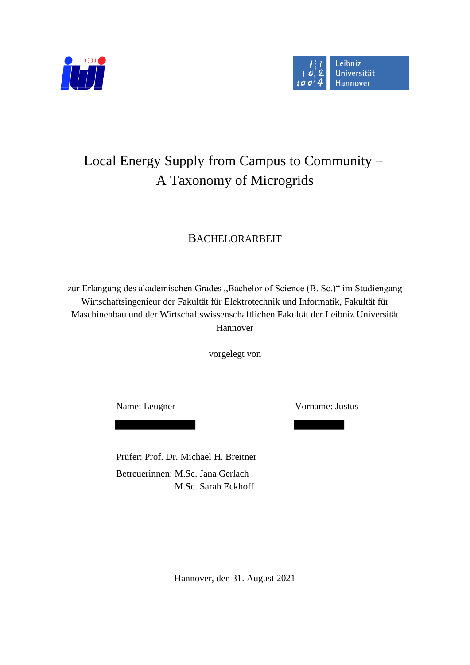



# Local Energy Supply from Campus to Community – A Taxonomy of Microgrids

## BACHELORARBEIT

zur Erlangung des akademischen Grades "Bachelor of Science (B. Sc.)" im Studiengang Wirtschaftsingenieur der Fakultät für Elektrotechnik und Informatik, Fakultät für Maschinenbau und der Wirtschaftswissenschaftlichen Fakultät der Leibniz Universität Hannover

vorgelegt von

Name: Leugner Vorname: Justus

Prüfer: Prof. Dr. Michael H. Breitner Betreuerinnen: M.Sc. Jana Gerlach M.Sc. Sarah Eckhoff

Hannover, den 31. August 2021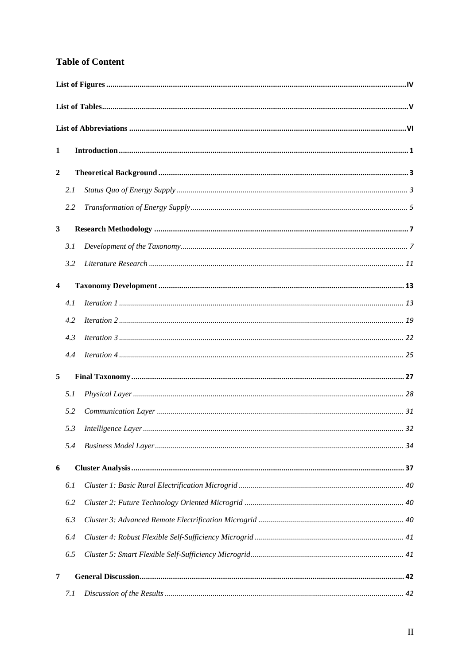#### **Table of Content**

| 1              |     |  |  |  |  |
|----------------|-----|--|--|--|--|
| $\overline{2}$ |     |  |  |  |  |
|                | 2.1 |  |  |  |  |
|                | 2.2 |  |  |  |  |
| 3              |     |  |  |  |  |
|                | 3.1 |  |  |  |  |
|                | 3.2 |  |  |  |  |
| 4              |     |  |  |  |  |
|                | 4.1 |  |  |  |  |
|                | 4.2 |  |  |  |  |
|                | 4.3 |  |  |  |  |
|                | 4.4 |  |  |  |  |
| 5              |     |  |  |  |  |
|                | 5.1 |  |  |  |  |
|                | 5.2 |  |  |  |  |
|                | 5.3 |  |  |  |  |
|                | 5.4 |  |  |  |  |
| 6              |     |  |  |  |  |
|                | 6.1 |  |  |  |  |
|                | 6.2 |  |  |  |  |
|                | 6.3 |  |  |  |  |
|                | 6.4 |  |  |  |  |
|                | 6.5 |  |  |  |  |
| 7              |     |  |  |  |  |
|                | 7.1 |  |  |  |  |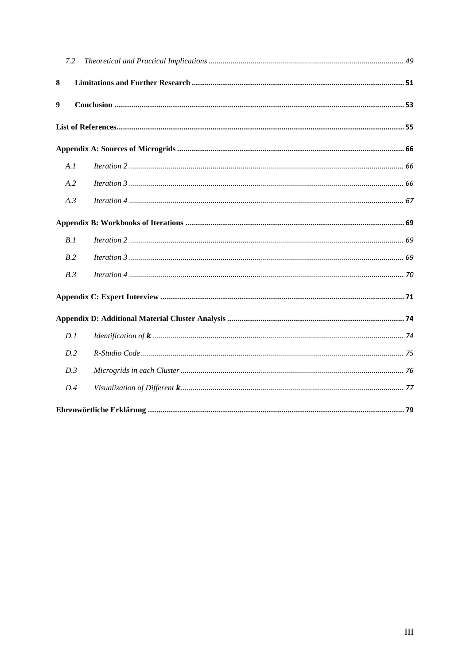| 7.2              |  |  |  |  |
|------------------|--|--|--|--|
| 8                |  |  |  |  |
| $\boldsymbol{9}$ |  |  |  |  |
|                  |  |  |  |  |
|                  |  |  |  |  |
| A.1              |  |  |  |  |
| A.2              |  |  |  |  |
| A.3              |  |  |  |  |
|                  |  |  |  |  |
| B.1              |  |  |  |  |
| B.2              |  |  |  |  |
| B.3              |  |  |  |  |
|                  |  |  |  |  |
|                  |  |  |  |  |
| D.1              |  |  |  |  |
| D.2              |  |  |  |  |
| D.3              |  |  |  |  |
| D.4              |  |  |  |  |
|                  |  |  |  |  |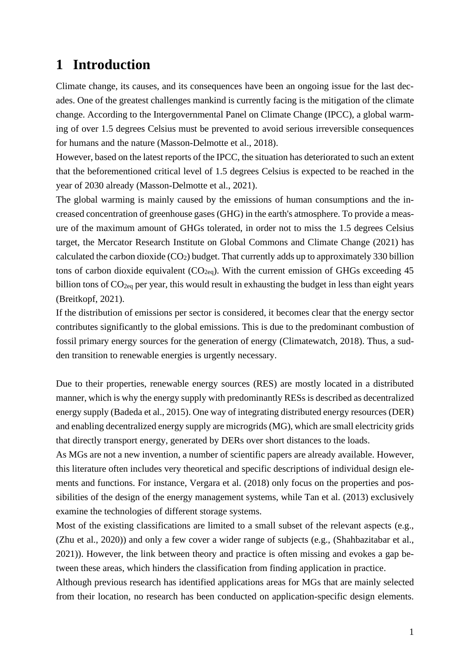### <span id="page-3-0"></span>**1 Introduction**

Climate change, its causes, and its consequences have been an ongoing issue for the last decades. One of the greatest challenges mankind is currently facing is the mitigation of the climate change. According to the Intergovernmental Panel on Climate Change (IPCC), a global warming of over 1.5 degrees Celsius must be prevented to avoid serious irreversible consequences for humans and the nature (Masson-Delmotte et al., 2018).

However, based on the latest reports of the IPCC, the situation has deteriorated to such an extent that the beforementioned critical level of 1.5 degrees Celsius is expected to be reached in the year of 2030 already (Masson-Delmotte et al., 2021).

The global warming is mainly caused by the emissions of human consumptions and the increased concentration of greenhouse gases (GHG) in the earth's atmosphere. To provide a measure of the maximum amount of GHGs tolerated, in order not to miss the 1.5 degrees Celsius target, the Mercator Research Institute on Global Commons and Climate Change (2021) has calculated the carbon dioxide  $(CO_2)$  budget. That currently adds up to approximately 330 billion tons of carbon dioxide equivalent  $(CO_{2eq})$ . With the current emission of GHGs exceeding 45 billion tons of CO<sub>2eq</sub> per year, this would result in exhausting the budget in less than eight years (Breitkopf, 2021).

If the distribution of emissions per sector is considered, it becomes clear that the energy sector contributes significantly to the global emissions. This is due to the predominant combustion of fossil primary energy sources for the generation of energy (Climatewatch, 2018). Thus, a sudden transition to renewable energies is urgently necessary.

Due to their properties, renewable energy sources (RES) are mostly located in a distributed manner, which is why the energy supply with predominantly RESs is described as decentralized energy supply (Badeda et al., 2015). One way of integrating distributed energy resources (DER) and enabling decentralized energy supply are microgrids (MG), which are small electricity grids that directly transport energy, generated by DERs over short distances to the loads.

As MGs are not a new invention, a number of scientific papers are already available. However, this literature often includes very theoretical and specific descriptions of individual design elements and functions. For instance, Vergara et al. (2018) only focus on the properties and possibilities of the design of the energy management systems, while Tan et al. (2013) exclusively examine the technologies of different storage systems.

Most of the existing classifications are limited to a small subset of the relevant aspects (e.g., (Zhu et al., 2020)) and only a few cover a wider range of subjects (e.g., (Shahbazitabar et al., 2021)). However, the link between theory and practice is often missing and evokes a gap between these areas, which hinders the classification from finding application in practice.

Although previous research has identified applications areas for MGs that are mainly selected from their location, no research has been conducted on application-specific design elements.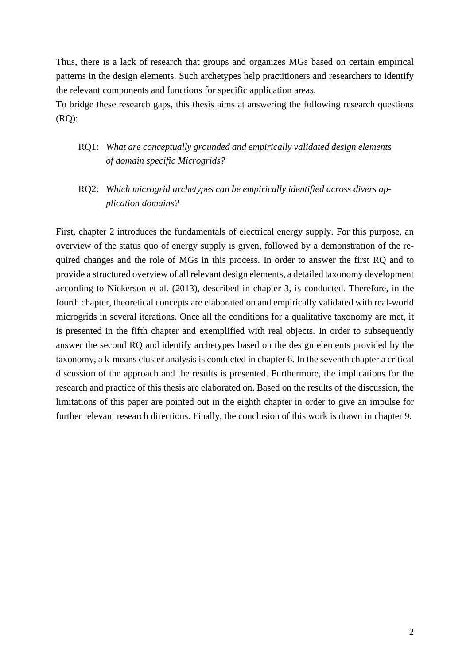Thus, there is a lack of research that groups and organizes MGs based on certain empirical patterns in the design elements. Such archetypes help practitioners and researchers to identify the relevant components and functions for specific application areas.

To bridge these research gaps, this thesis aims at answering the following research questions (RQ):

- RQ1: *What are conceptually grounded and empirically validated design elements of domain specific Microgrids?*
- RQ2: *Which microgrid archetypes can be empirically identified across divers application domains?*

First, chapter 2 introduces the fundamentals of electrical energy supply. For this purpose, an overview of the status quo of energy supply is given, followed by a demonstration of the required changes and the role of MGs in this process. In order to answer the first RQ and to provide a structured overview of all relevant design elements, a detailed taxonomy development according to Nickerson et al. (2013), described in chapter 3, is conducted. Therefore, in the fourth chapter, theoretical concepts are elaborated on and empirically validated with real-world microgrids in several iterations. Once all the conditions for a qualitative taxonomy are met, it is presented in the fifth chapter and exemplified with real objects. In order to subsequently answer the second RQ and identify archetypes based on the design elements provided by the taxonomy, a k-means cluster analysis is conducted in chapter 6. In the seventh chapter a critical discussion of the approach and the results is presented. Furthermore, the implications for the research and practice of this thesis are elaborated on. Based on the results of the discussion, the limitations of this paper are pointed out in the eighth chapter in order to give an impulse for further relevant research directions. Finally, the conclusion of this work is drawn in [chapter 9.](#page-5-0)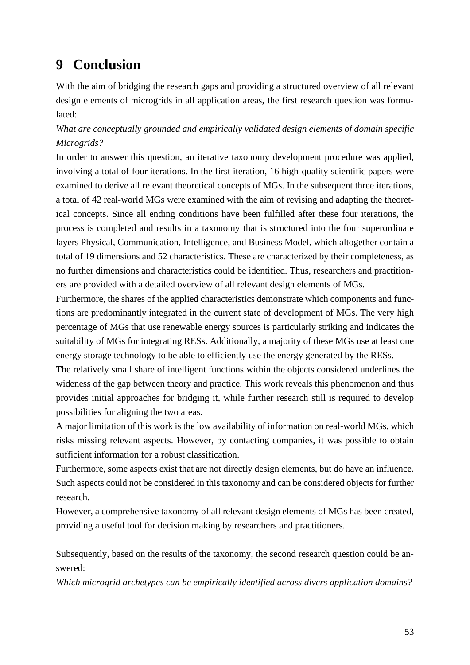# <span id="page-5-0"></span>**9 Conclusion**

With the aim of bridging the research gaps and providing a structured overview of all relevant design elements of microgrids in all application areas, the first research question was formulated:

#### *What are conceptually grounded and empirically validated design elements of domain specific Microgrids?*

In order to answer this question, an iterative taxonomy development procedure was applied, involving a total of four iterations. In the first iteration, 16 high-quality scientific papers were examined to derive all relevant theoretical concepts of MGs. In the subsequent three iterations, a total of 42 real-world MGs were examined with the aim of revising and adapting the theoretical concepts. Since all ending conditions have been fulfilled after these four iterations, the process is completed and results in a taxonomy that is structured into the four superordinate layers Physical, Communication, Intelligence, and Business Model, which altogether contain a total of 19 dimensions and 52 characteristics. These are characterized by their completeness, as no further dimensions and characteristics could be identified. Thus, researchers and practitioners are provided with a detailed overview of all relevant design elements of MGs.

Furthermore, the shares of the applied characteristics demonstrate which components and functions are predominantly integrated in the current state of development of MGs. The very high percentage of MGs that use renewable energy sources is particularly striking and indicates the suitability of MGs for integrating RESs. Additionally, a majority of these MGs use at least one energy storage technology to be able to efficiently use the energy generated by the RESs.

The relatively small share of intelligent functions within the objects considered underlines the wideness of the gap between theory and practice. This work reveals this phenomenon and thus provides initial approaches for bridging it, while further research still is required to develop possibilities for aligning the two areas.

A major limitation of this work is the low availability of information on real-world MGs, which risks missing relevant aspects. However, by contacting companies, it was possible to obtain sufficient information for a robust classification.

Furthermore, some aspects exist that are not directly design elements, but do have an influence. Such aspects could not be considered in this taxonomy and can be considered objects for further research.

However, a comprehensive taxonomy of all relevant design elements of MGs has been created, providing a useful tool for decision making by researchers and practitioners.

Subsequently, based on the results of the taxonomy, the second research question could be answered:

*Which microgrid archetypes can be empirically identified across divers application domains?*